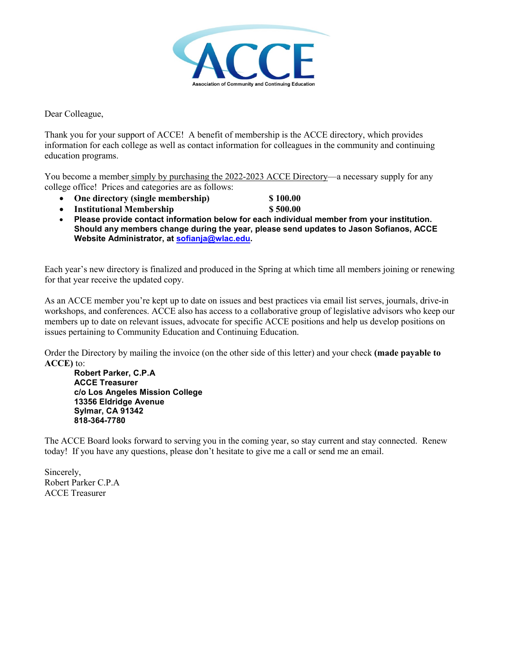

Dear Colleague,

Thank you for your support of ACCE! A benefit of membership is the ACCE directory, which provides information for each college as well as contact information for colleagues in the community and continuing education programs.

You become a member simply by purchasing the 2022-2023 ACCE Directory—a necessary supply for any college office! Prices and categories are as follows:

- **One directory (single membership) \$ 100.00**
	-
- **Institutional Membership**  $\qquad$  **\$ 500.00**
- **Please provide contact information below for each individual member from your institution. Should any members change during the year, please send updates to Jason Sofianos, ACCE Website Administrator, at sofianja@wlac.edu.**

Each year's new directory is finalized and produced in the Spring at which time all members joining or renewing for that year receive the updated copy.

As an ACCE member you're kept up to date on issues and best practices via email list serves, journals, drive-in workshops, and conferences. ACCE also has access to a collaborative group of legislative advisors who keep our members up to date on relevant issues, advocate for specific ACCE positions and help us develop positions on issues pertaining to Community Education and Continuing Education.

Order the Directory by mailing the invoice (on the other side of this letter) and your check **(made payable to ACCE)** to:

**Robert Parker, C.P.A ACCE Treasurer c/o Los Angeles Mission College 13356 Eldridge Avenue Sylmar, CA 91342 818-364-7780**

The ACCE Board looks forward to serving you in the coming year, so stay current and stay connected. Renew today! If you have any questions, please don't hesitate to give me a call or send me an email.

Sincerely, Robert Parker C.P.A ACCE Treasurer